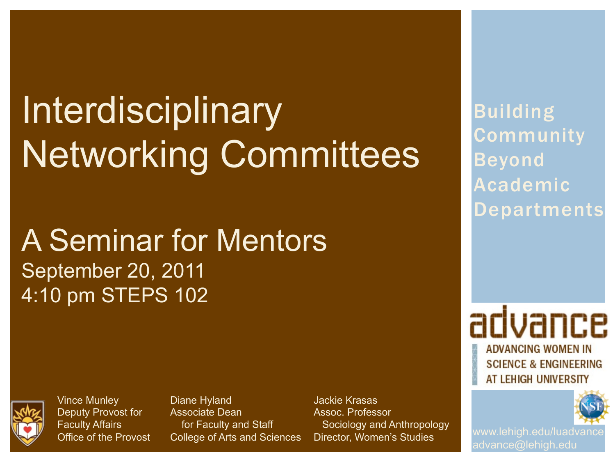# Interdisciplinary Networking Committees

## A Seminar for Mentors September 20, 2011 4:10 pm STEPS 102



Vince Munley Deputy Provost for Faculty Affairs Office of the Provost Diane Hyland Associate Dean for Faculty and Staff College of Arts and Sciences Jackie Krasas Assoc. Professor Sociology and Anthropology Director, Women's Studies

Building **Community** Beyond Academic Departments

advance **ADVANCING WOMEN IN SCIENCE & ENGINEERING** AT LEHIGH UNIVERSITY



www.lehigh.edu/luadvance advance@lehigh.edu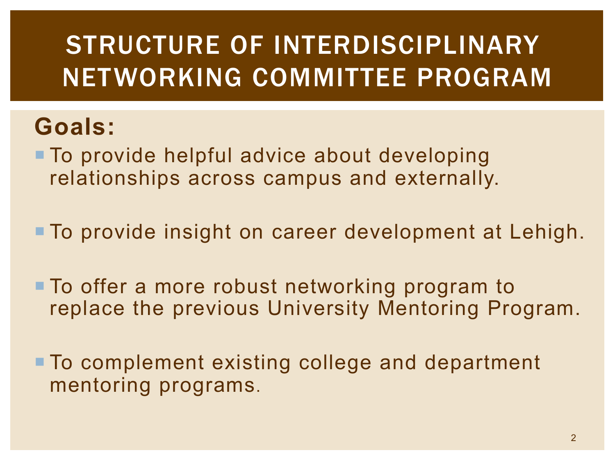# STRUCTURE OF INTERDISCIPLINARY NETWORKING COMMITTEE PROGRAM

#### **Goals:**

■ To provide helpful advice about developing relationships across campus and externally.

**To provide insight on career development at Lehigh.** 

**To offer a more robust networking program to** replace the previous University Mentoring Program.

■ To complement existing college and department mentoring programs.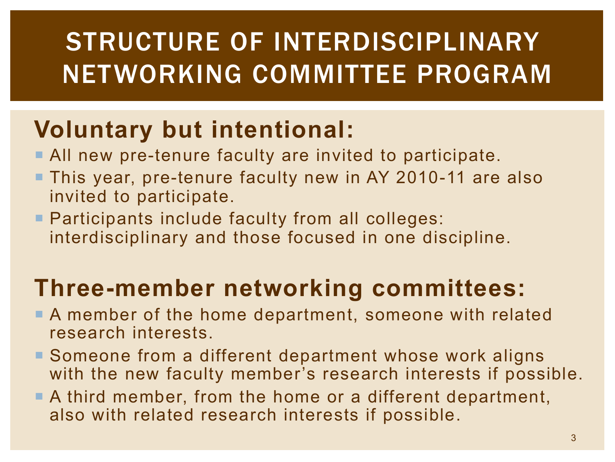# STRUCTURE OF INTERDISCIPLINARY NETWORKING COMMITTEE PROGRAM

## **Voluntary but intentional:**

- **All new pre-tenure faculty are invited to participate.**
- **This year, pre-tenure faculty new in AY 2010-11 are also** invited to participate.
- **Participants include faculty from all colleges:** interdisciplinary and those focused in one discipline.

#### **Three-member networking committees:**

- **A** member of the home department, someone with related research interests.
- Someone from a different department whose work aligns with the new faculty member's research interests if possible.
- $\blacksquare$  A third member, from the home or a different department, also with related research interests if possible.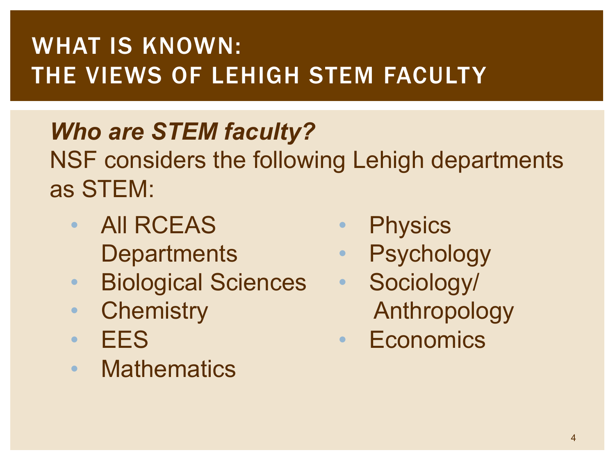## WHAT IS KNOWN: THE VIEWS OF LEHIGH STEM FACULTY

# *Who are STEM faculty?*

NSF considers the following Lehigh departments as STEM:

- All RCEAS **Departments**
- Biological Sciences
- Chemistry
- EES
- Mathematics
- Physics
- Psychology
- Sociology/ Anthropology
- Economics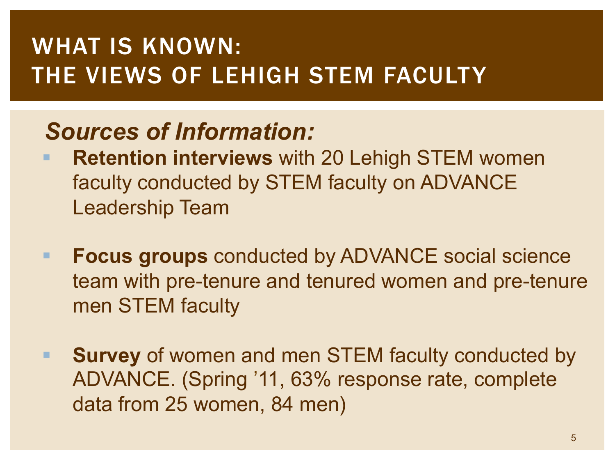#### WHAT IS KNOWN: THE VIEWS OF LEHIGH STEM FACULTY

#### *Sources of Information:*

- **Retention interviews** with 20 Lehigh STEM women faculty conducted by STEM faculty on ADVANCE Leadership Team
- ! **Focus groups** conducted by ADVANCE social science team with pre-tenure and tenured women and pre-tenure men STEM faculty
- **Survey** of women and men STEM faculty conducted by ADVANCE. (Spring '11, 63% response rate, complete data from 25 women, 84 men)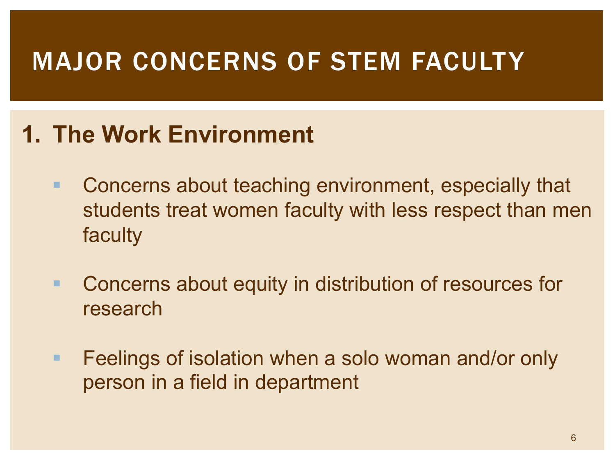## MAJOR CONCERNS OF STEM FACULTY

#### **1. The Work Environment**

- **EXECONCERTS** about teaching environment, especially that students treat women faculty with less respect than men faculty
- **E** Concerns about equity in distribution of resources for research
- **EXTERING** Feelings of isolation when a solo woman and/or only person in a field in department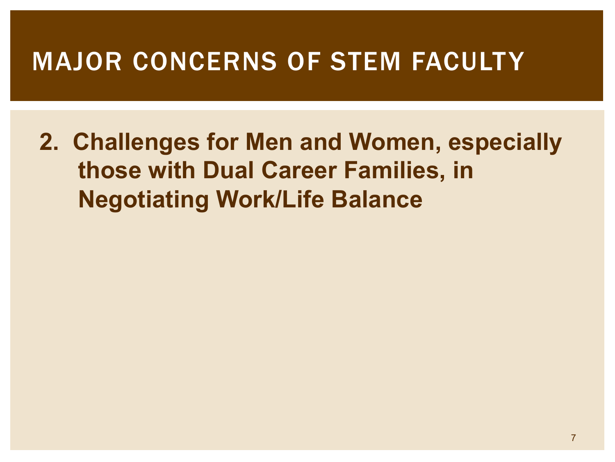#### MAJOR CONCERNS OF STEM FACULTY

**2. Challenges for Men and Women, especially those with Dual Career Families, in Negotiating Work/Life Balance**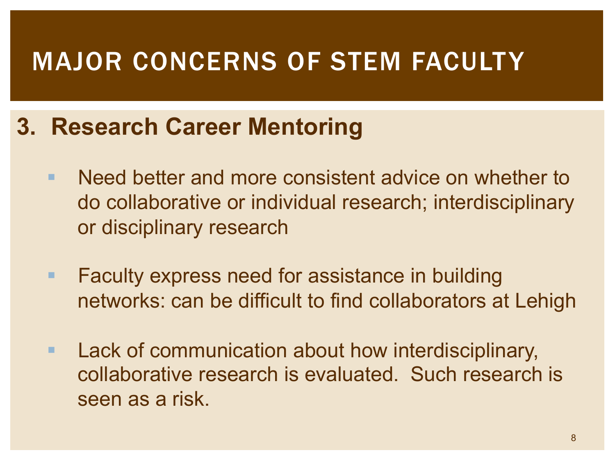## MAJOR CONCERNS OF STEM FACULTY

#### **3. Research Career Mentoring**

- ! Need better and more consistent advice on whether to do collaborative or individual research; interdisciplinary or disciplinary research
- **EXECUTE: Faculty express need for assistance in building** networks: can be difficult to find collaborators at Lehigh
- **E.** Lack of communication about how interdisciplinary, collaborative research is evaluated. Such research is seen as a risk.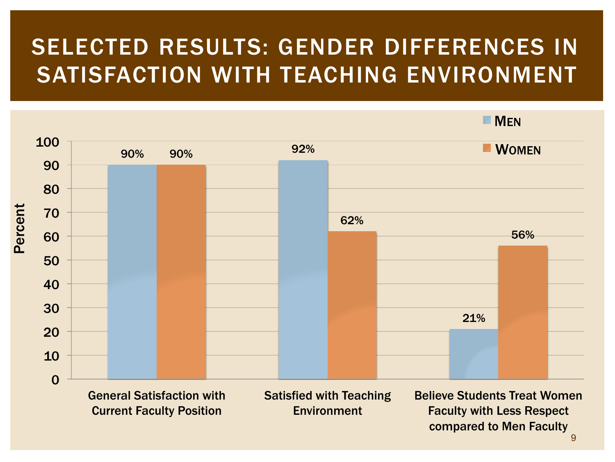#### SELECTED RESULTS: GENDER DIFFERENCES IN SATISFACTION WITH TEACHING ENVIRONMENT

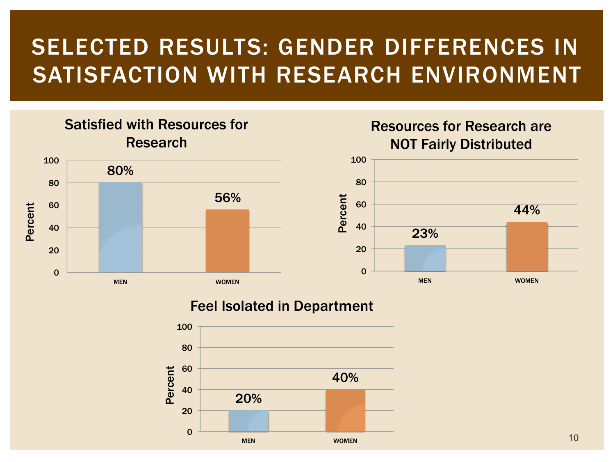#### SELECTED RESULTS: GENDER DIFFERENCES IN SATISFACTION WITH RESEARCH ENVIRONMENT

#### Satisfied with Resources for Research



#### Resources for Research are NOT Fairly Distributed



#### Feel Isolated in Department

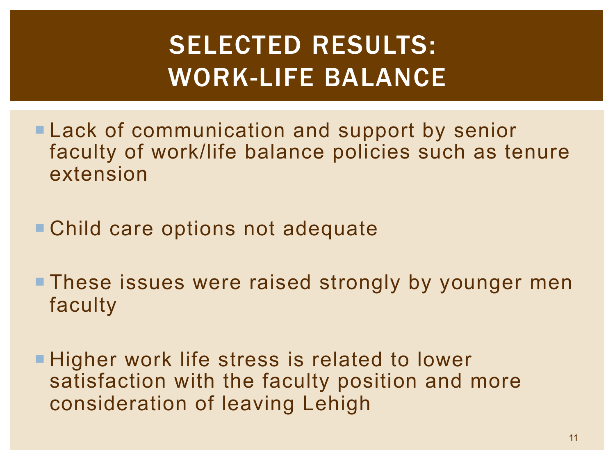# SELECTED RESULTS: WORK-LIFE BALANCE

- **ELack of communication and support by senior** faculty of work/life balance policies such as tenure extension
- Child care options not adequate
- **These issues were raised strongly by younger men** faculty
- **Example Higher work life stress is related to lower** satisfaction with the faculty position and more consideration of leaving Lehigh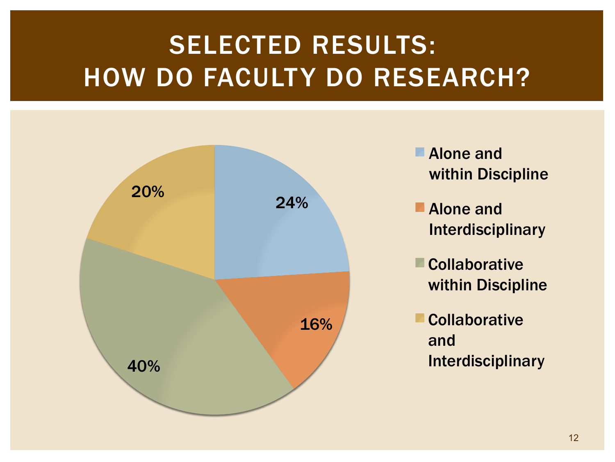# SELECTED RESULTS: HOW DO FACULTY DO RESEARCH?



- Alone and within Discipline
- Alone and Interdisciplinary
- **Collaborative** within Discipline
- **Collaborative** and Interdisciplinary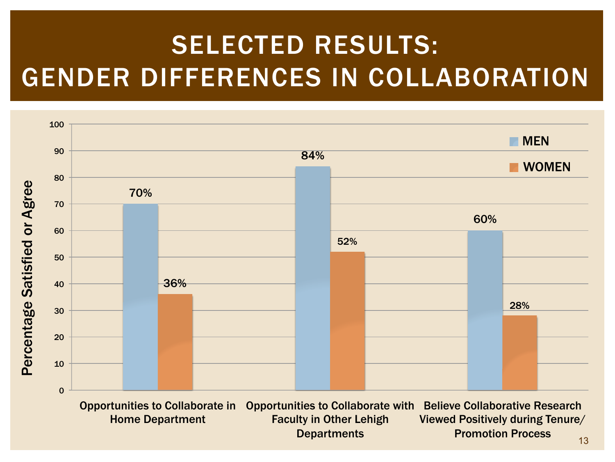# SELECTED RESULTS: GENDER DIFFERENCES IN COLLABORATION

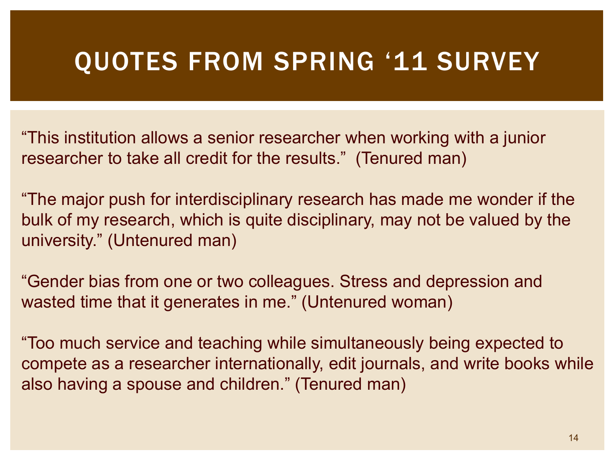#### QUOTES FROM SPRING '11 SURVEY

"This institution allows a senior researcher when working with a junior researcher to take all credit for the results." (Tenured man)

"The major push for interdisciplinary research has made me wonder if the bulk of my research, which is quite disciplinary, may not be valued by the university." (Untenured man)

"Gender bias from one or two colleagues. Stress and depression and wasted time that it generates in me." (Untenured woman)

"Too much service and teaching while simultaneously being expected to compete as a researcher internationally, edit journals, and write books while also having a spouse and children." (Tenured man)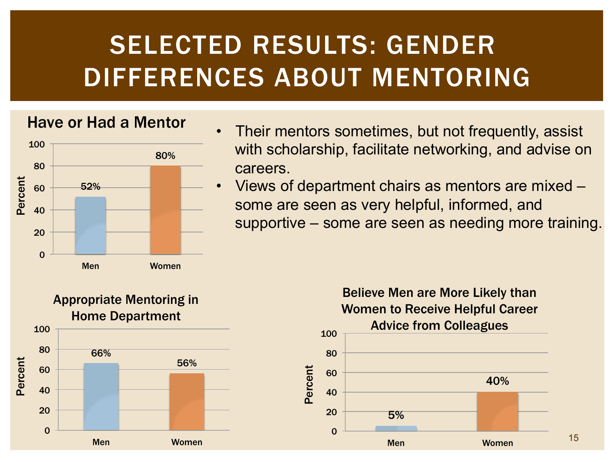# SELECTED RESULTS: GENDER DIFFERENCES ABOUT MENTORING



- Have or Had a Mentor Their mentors sometimes, but not frequently, assist with scholarship, facilitate networking, and advise on careers.
	- Views of department chairs as mentors are mixed some are seen as very helpful, informed, and supportive – some are seen as needing more training.



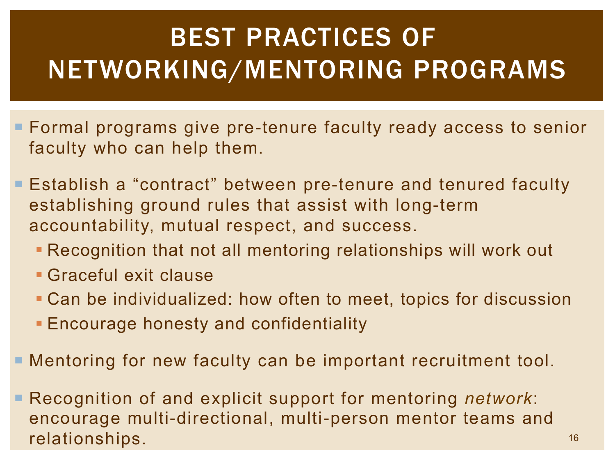# BEST PRACTICES OF NETWORKING/MENTORING PROGRAMS

- **E** Formal programs give pre-tenure faculty ready access to senior faculty who can help them.
- **Establish a "contract" between pre-tenure and tenured faculty** establishing ground rules that assist with long-term accountability, mutual respect, and success.
	- **Recognition that not all mentoring relationships will work out**
	- ! Graceful exit clause
	- ! Can be individualized: how often to meet, topics for discussion
	- **Encourage honesty and confidentiality**
- **E** Mentoring for new faculty can be important recruitment tool.
- **E** Recognition of and explicit support for mentoring *network*: encourage multi-directional, multi-person mentor teams and relationships.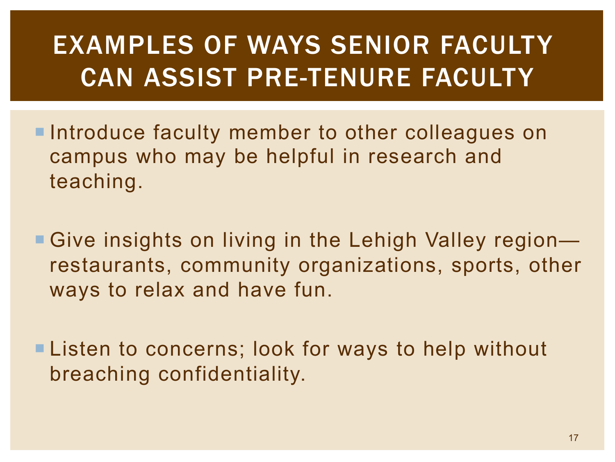# EXAMPLES OF WAYS SENIOR FACULTY CAN ASSIST PRE-TENURE FACULTY

- **Introduce faculty member to other colleagues on** campus who may be helpful in research and teaching.
- Give insights on living in the Lehigh Valley region restaurants, community organizations, sports, other ways to relax and have fun.
- **Elisten to concerns; look for ways to help without** breaching confidentiality.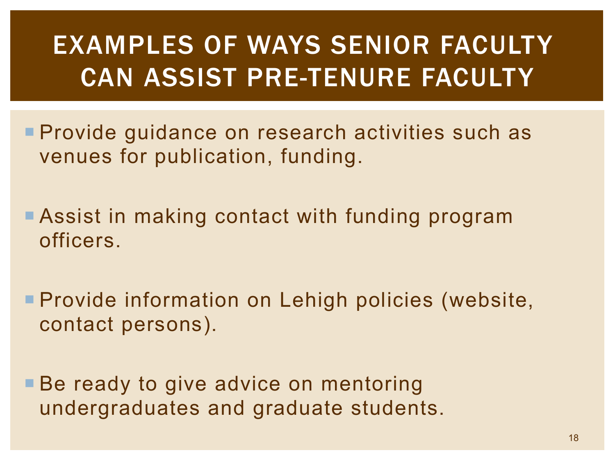# EXAMPLES OF WAYS SENIOR FACULTY CAN ASSIST PRE-TENURE FACULTY

- **Provide guidance on research activities such as** venues for publication, funding.
- **E** Assist in making contact with funding program officers.
- **Provide information on Lehigh policies (website,** contact persons).
- **Be ready to give advice on mentoring** undergraduates and graduate students.